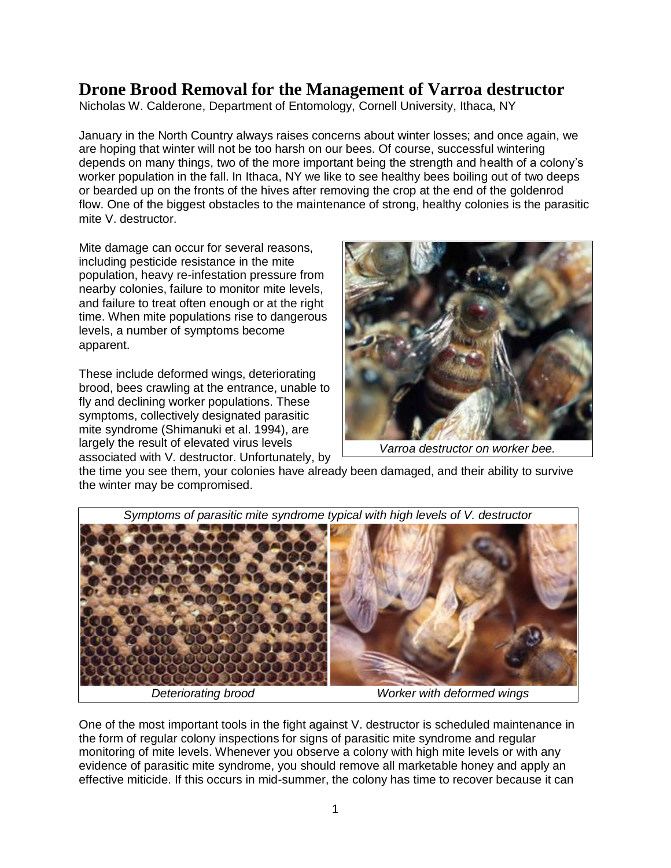## **Drone Brood Removal for the Management of Varroa destructor**

Nicholas W. Calderone, Department of Entomology, Cornell University, Ithaca, NY

January in the North Country always raises concerns about winter losses; and once again, we are hoping that winter will not be too harsh on our bees. Of course, successful wintering depends on many things, two of the more important being the strength and health of a colony's worker population in the fall. In Ithaca, NY we like to see healthy bees boiling out of two deeps or bearded up on the fronts of the hives after removing the crop at the end of the goldenrod flow. One of the biggest obstacles to the maintenance of strong, healthy colonies is the parasitic mite V. destructor.

Mite damage can occur for several reasons, including pesticide resistance in the mite population, heavy re-infestation pressure from nearby colonies, failure to monitor mite levels, and failure to treat often enough or at the right time. When mite populations rise to dangerous levels, a number of symptoms become apparent.

These include deformed wings, deteriorating brood, bees crawling at the entrance, unable to fly and declining worker populations. These symptoms, collectively designated parasitic mite syndrome (Shimanuki et al. 1994), are largely the result of elevated virus levels associated with V. destructor. Unfortunately, by



*Varroa destructor on worker bee.*

the time you see them, your colonies have already been damaged, and their ability to survive the winter may be compromised.



One of the most important tools in the fight against V. destructor is scheduled maintenance in the form of regular colony inspections for signs of parasitic mite syndrome and regular monitoring of mite levels. Whenever you observe a colony with high mite levels or with any evidence of parasitic mite syndrome, you should remove all marketable honey and apply an effective miticide. If this occurs in mid-summer, the colony has time to recover because it can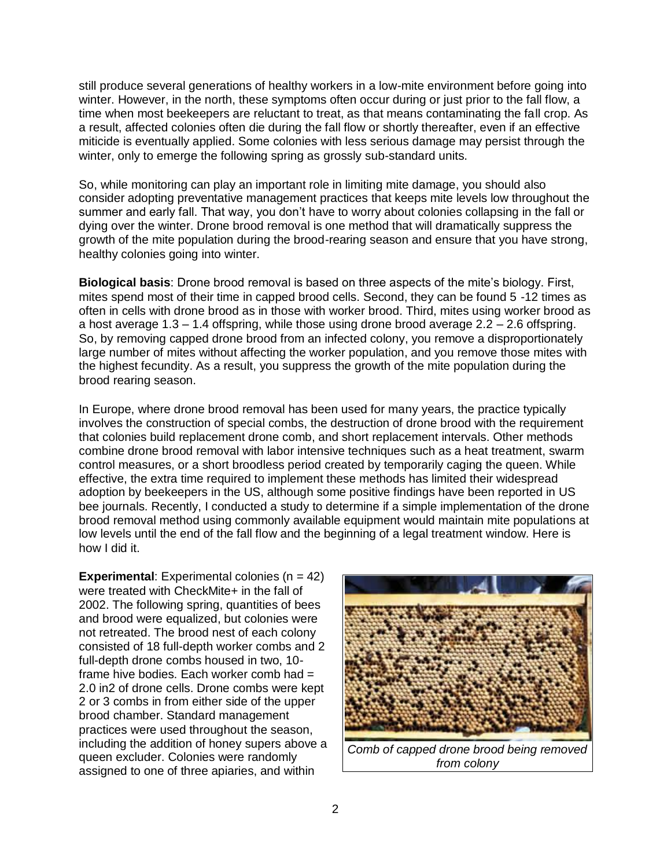still produce several generations of healthy workers in a low-mite environment before going into winter. However, in the north, these symptoms often occur during or just prior to the fall flow, a time when most beekeepers are reluctant to treat, as that means contaminating the fall crop. As a result, affected colonies often die during the fall flow or shortly thereafter, even if an effective miticide is eventually applied. Some colonies with less serious damage may persist through the winter, only to emerge the following spring as grossly sub-standard units.

So, while monitoring can play an important role in limiting mite damage, you should also consider adopting preventative management practices that keeps mite levels low throughout the summer and early fall. That way, you don't have to worry about colonies collapsing in the fall or dying over the winter. Drone brood removal is one method that will dramatically suppress the growth of the mite population during the brood-rearing season and ensure that you have strong, healthy colonies going into winter.

**Biological basis**: Drone brood removal is based on three aspects of the mite's biology. First, mites spend most of their time in capped brood cells. Second, they can be found 5 -12 times as often in cells with drone brood as in those with worker brood. Third, mites using worker brood as a host average 1.3 – 1.4 offspring, while those using drone brood average 2.2 – 2.6 offspring. So, by removing capped drone brood from an infected colony, you remove a disproportionately large number of mites without affecting the worker population, and you remove those mites with the highest fecundity. As a result, you suppress the growth of the mite population during the brood rearing season.

In Europe, where drone brood removal has been used for many years, the practice typically involves the construction of special combs, the destruction of drone brood with the requirement that colonies build replacement drone comb, and short replacement intervals. Other methods combine drone brood removal with labor intensive techniques such as a heat treatment, swarm control measures, or a short broodless period created by temporarily caging the queen. While effective, the extra time required to implement these methods has limited their widespread adoption by beekeepers in the US, although some positive findings have been reported in US bee journals. Recently, I conducted a study to determine if a simple implementation of the drone brood removal method using commonly available equipment would maintain mite populations at low levels until the end of the fall flow and the beginning of a legal treatment window. Here is how I did it.

**Experimental:** Experimental colonies (n = 42) were treated with CheckMite+ in the fall of 2002. The following spring, quantities of bees and brood were equalized, but colonies were not retreated. The brood nest of each colony consisted of 18 full-depth worker combs and 2 full-depth drone combs housed in two, 10 frame hive bodies. Each worker comb had = 2.0 in2 of drone cells. Drone combs were kept 2 or 3 combs in from either side of the upper brood chamber. Standard management practices were used throughout the season, including the addition of honey supers above a queen excluder. Colonies were randomly assigned to one of three apiaries, and within

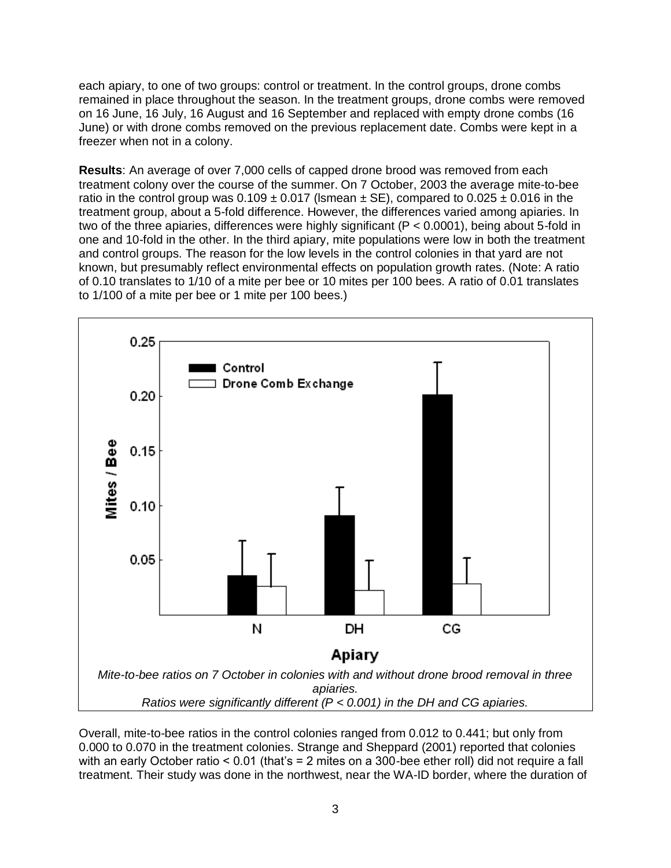each apiary, to one of two groups: control or treatment. In the control groups, drone combs remained in place throughout the season. In the treatment groups, drone combs were removed on 16 June, 16 July, 16 August and 16 September and replaced with empty drone combs (16 June) or with drone combs removed on the previous replacement date. Combs were kept in a freezer when not in a colony.

**Results**: An average of over 7,000 cells of capped drone brood was removed from each treatment colony over the course of the summer. On 7 October, 2003 the average mite-to-bee ratio in the control group was  $0.109 \pm 0.017$  (Ismean  $\pm$  SE), compared to  $0.025 \pm 0.016$  in the treatment group, about a 5-fold difference. However, the differences varied among apiaries. In two of the three apiaries, differences were highly significant (P < 0.0001), being about 5-fold in one and 10-fold in the other. In the third apiary, mite populations were low in both the treatment and control groups. The reason for the low levels in the control colonies in that yard are not known, but presumably reflect environmental effects on population growth rates. (Note: A ratio of 0.10 translates to 1/10 of a mite per bee or 10 mites per 100 bees. A ratio of 0.01 translates to 1/100 of a mite per bee or 1 mite per 100 bees.)



Overall, mite-to-bee ratios in the control colonies ranged from 0.012 to 0.441; but only from 0.000 to 0.070 in the treatment colonies. Strange and Sheppard (2001) reported that colonies with an early October ratio < 0.01 (that's = 2 mites on a 300-bee ether roll) did not require a fall treatment. Their study was done in the northwest, near the WA-ID border, where the duration of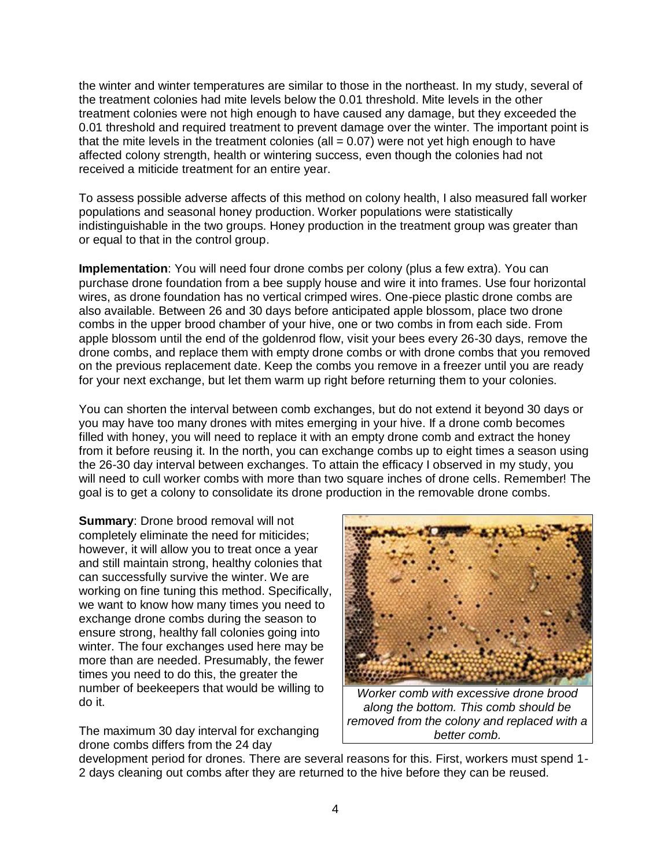the winter and winter temperatures are similar to those in the northeast. In my study, several of the treatment colonies had mite levels below the 0.01 threshold. Mite levels in the other treatment colonies were not high enough to have caused any damage, but they exceeded the 0.01 threshold and required treatment to prevent damage over the winter. The important point is that the mite levels in the treatment colonies (all  $= 0.07$ ) were not yet high enough to have affected colony strength, health or wintering success, even though the colonies had not received a miticide treatment for an entire year.

To assess possible adverse affects of this method on colony health, I also measured fall worker populations and seasonal honey production. Worker populations were statistically indistinguishable in the two groups. Honey production in the treatment group was greater than or equal to that in the control group.

**Implementation**: You will need four drone combs per colony (plus a few extra). You can purchase drone foundation from a bee supply house and wire it into frames. Use four horizontal wires, as drone foundation has no vertical crimped wires. One-piece plastic drone combs are also available. Between 26 and 30 days before anticipated apple blossom, place two drone combs in the upper brood chamber of your hive, one or two combs in from each side. From apple blossom until the end of the goldenrod flow, visit your bees every 26-30 days, remove the drone combs, and replace them with empty drone combs or with drone combs that you removed on the previous replacement date. Keep the combs you remove in a freezer until you are ready for your next exchange, but let them warm up right before returning them to your colonies.

You can shorten the interval between comb exchanges, but do not extend it beyond 30 days or you may have too many drones with mites emerging in your hive. If a drone comb becomes filled with honey, you will need to replace it with an empty drone comb and extract the honey from it before reusing it. In the north, you can exchange combs up to eight times a season using the 26-30 day interval between exchanges. To attain the efficacy I observed in my study, you will need to cull worker combs with more than two square inches of drone cells. Remember! The goal is to get a colony to consolidate its drone production in the removable drone combs.

**Summary**: Drone brood removal will not completely eliminate the need for miticides; however, it will allow you to treat once a year and still maintain strong, healthy colonies that can successfully survive the winter. We are working on fine tuning this method. Specifically, we want to know how many times you need to exchange drone combs during the season to ensure strong, healthy fall colonies going into winter. The four exchanges used here may be more than are needed. Presumably, the fewer times you need to do this, the greater the number of beekeepers that would be willing to do it.

The maximum 30 day interval for exchanging drone combs differs from the 24 day



*Worker comb with excessive drone brood along the bottom. This comb should be removed from the colony and replaced with a better comb.*

development period for drones. There are several reasons for this. First, workers must spend 1- 2 days cleaning out combs after they are returned to the hive before they can be reused.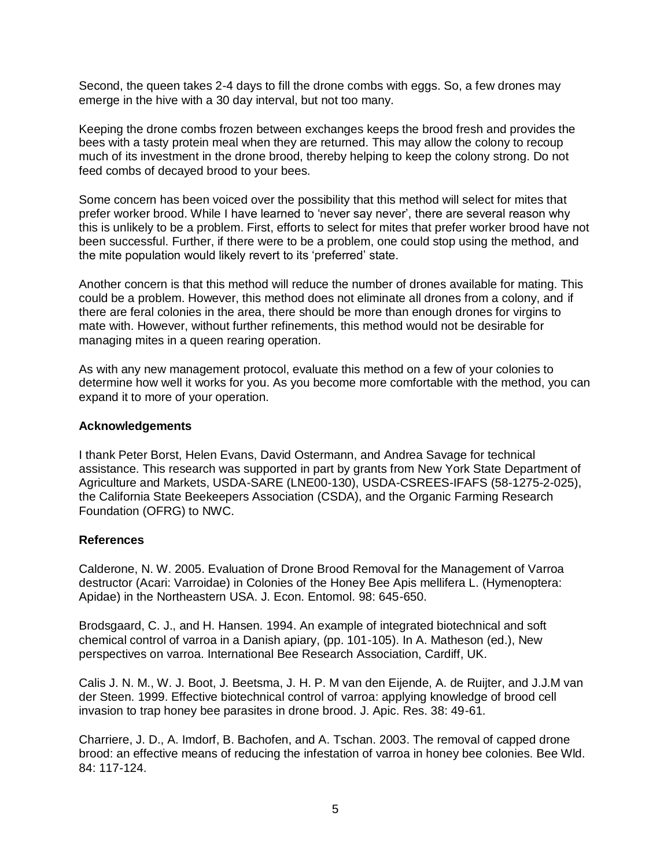Second, the queen takes 2-4 days to fill the drone combs with eggs. So, a few drones may emerge in the hive with a 30 day interval, but not too many.

Keeping the drone combs frozen between exchanges keeps the brood fresh and provides the bees with a tasty protein meal when they are returned. This may allow the colony to recoup much of its investment in the drone brood, thereby helping to keep the colony strong. Do not feed combs of decayed brood to your bees.

Some concern has been voiced over the possibility that this method will select for mites that prefer worker brood. While I have learned to 'never say never', there are several reason why this is unlikely to be a problem. First, efforts to select for mites that prefer worker brood have not been successful. Further, if there were to be a problem, one could stop using the method, and the mite population would likely revert to its 'preferred' state.

Another concern is that this method will reduce the number of drones available for mating. This could be a problem. However, this method does not eliminate all drones from a colony, and if there are feral colonies in the area, there should be more than enough drones for virgins to mate with. However, without further refinements, this method would not be desirable for managing mites in a queen rearing operation.

As with any new management protocol, evaluate this method on a few of your colonies to determine how well it works for you. As you become more comfortable with the method, you can expand it to more of your operation.

## **Acknowledgements**

I thank Peter Borst, Helen Evans, David Ostermann, and Andrea Savage for technical assistance. This research was supported in part by grants from New York State Department of Agriculture and Markets, USDA-SARE (LNE00-130), USDA-CSREES-IFAFS (58-1275-2-025), the California State Beekeepers Association (CSDA), and the Organic Farming Research Foundation (OFRG) to NWC.

## **References**

Calderone, N. W. 2005. Evaluation of Drone Brood Removal for the Management of Varroa destructor (Acari: Varroidae) in Colonies of the Honey Bee Apis mellifera L. (Hymenoptera: Apidae) in the Northeastern USA. J. Econ. Entomol. 98: 645-650.

Brodsgaard, C. J., and H. Hansen. 1994. An example of integrated biotechnical and soft chemical control of varroa in a Danish apiary, (pp. 101-105). In A. Matheson (ed.), New perspectives on varroa. International Bee Research Association, Cardiff, UK.

Calis J. N. M., W. J. Boot, J. Beetsma, J. H. P. M van den Eijende, A. de Ruijter, and J.J.M van der Steen. 1999. Effective biotechnical control of varroa: applying knowledge of brood cell invasion to trap honey bee parasites in drone brood. J. Apic. Res. 38: 49-61.

Charriere, J. D., A. Imdorf, B. Bachofen, and A. Tschan. 2003. The removal of capped drone brood: an effective means of reducing the infestation of varroa in honey bee colonies. Bee Wld. 84: 117-124.